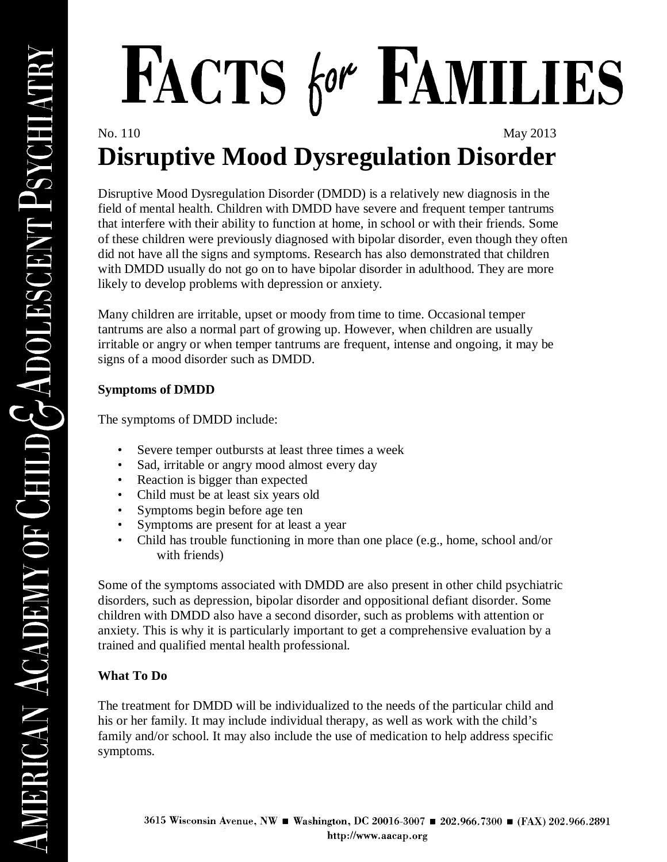## FACTS for FAMILIES

## No. 110 May 2013 **Disruptive Mood Dysregulation Disorder**

Disruptive Mood Dysregulation Disorder (DMDD) is a relatively new diagnosis in the field of mental health. Children with DMDD have severe and frequent temper tantrums that interfere with their ability to function at home, in school or with their friends. Some of these children were previously diagnosed with bipolar disorder, even though they often did not have all the signs and symptoms. Research has also demonstrated that children with DMDD usually do not go on to have bipolar disorder in adulthood. They are more likely to develop problems with depression or anxiety.

Many children are irritable, upset or moody from time to time. Occasional temper tantrums are also a normal part of growing up. However, when children are usually irritable or angry or when temper tantrums are frequent, intense and ongoing, it may be signs of a mood disorder such as DMDD.

## **Symptoms of DMDD**

The symptoms of DMDD include:

- Severe temper outbursts at least three times a week
- Sad, irritable or angry mood almost every day
- Reaction is bigger than expected
- Child must be at least six years old
- Symptoms begin before age ten
- Symptoms are present for at least a year
- Child has trouble functioning in more than one place (e.g., home, school and/or with friends)

Some of the symptoms associated with DMDD are also present in other child psychiatric disorders, such as depression, bipolar disorder and oppositional defiant disorder. Some children with DMDD also have a second disorder, such as problems with attention or anxiety. This is why it is particularly important to get a comprehensive evaluation by a trained and qualified mental health professional.

## **What To Do**

The treatment for DMDD will be individualized to the needs of the particular child and his or her family. It may include individual therapy, as well as work with the child's family and/or school. It may also include the use of medication to help address specific symptoms.